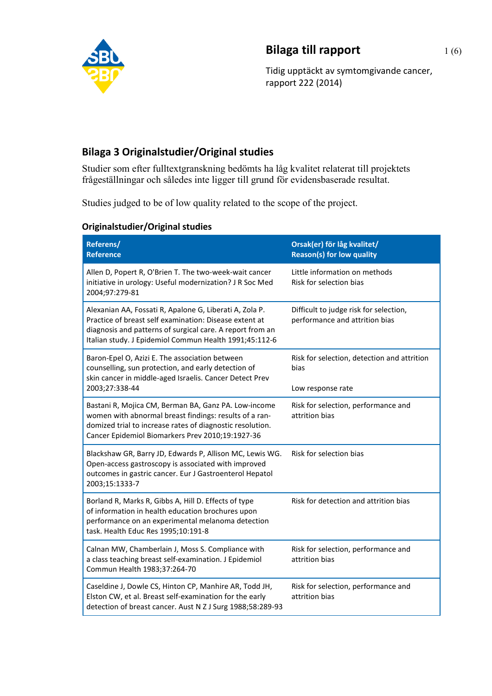

## **Bilaga till rapport** 1(6)

Tidig upptäckt av symtomgivande cancer, rapport 222 (2014)

## **Bilaga 3 Originalstudier/Original studies**

Studier som efter fulltextgranskning bedömts ha låg kvalitet relaterat till projektets frågeställningar och således inte ligger till grund för evidensbaserade resultat.

Studies judged to be of low quality related to the scope of the project.

| Originalstudier/Original studies |
|----------------------------------|
|----------------------------------|

| Referens/<br><b>Reference</b>                                                                                                                                                                                                            | Orsak(er) för låg kvalitet/<br><b>Reason(s) for low quality</b>          |
|------------------------------------------------------------------------------------------------------------------------------------------------------------------------------------------------------------------------------------------|--------------------------------------------------------------------------|
| Allen D, Popert R, O'Brien T. The two-week-wait cancer<br>initiative in urology: Useful modernization? J R Soc Med<br>2004;97:279-81                                                                                                     | Little information on methods<br>Risk for selection bias                 |
| Alexanian AA, Fossati R, Apalone G, Liberati A, Zola P.<br>Practice of breast self examination: Disease extent at<br>diagnosis and patterns of surgical care. A report from an<br>Italian study. J Epidemiol Commun Health 1991;45:112-6 | Difficult to judge risk for selection,<br>performance and attrition bias |
| Baron-Epel O, Azizi E. The association between<br>counselling, sun protection, and early detection of<br>skin cancer in middle-aged Israelis. Cancer Detect Prev                                                                         | Risk for selection, detection and attrition<br>bias                      |
| 2003;27:338-44                                                                                                                                                                                                                           | Low response rate                                                        |
| Bastani R, Mojica CM, Berman BA, Ganz PA. Low-income<br>women with abnormal breast findings: results of a ran-<br>domized trial to increase rates of diagnostic resolution.<br>Cancer Epidemiol Biomarkers Prev 2010;19:1927-36          | Risk for selection, performance and<br>attrition bias                    |
| Blackshaw GR, Barry JD, Edwards P, Allison MC, Lewis WG.<br>Open-access gastroscopy is associated with improved<br>outcomes in gastric cancer. Eur J Gastroenterol Hepatol<br>2003;15:1333-7                                             | Risk for selection bias                                                  |
| Borland R, Marks R, Gibbs A, Hill D. Effects of type<br>of information in health education brochures upon<br>performance on an experimental melanoma detection<br>task. Health Educ Res 1995;10:191-8                                    | Risk for detection and attrition bias                                    |
| Calnan MW, Chamberlain J, Moss S. Compliance with<br>a class teaching breast self-examination. J Epidemiol<br>Commun Health 1983;37:264-70                                                                                               | Risk for selection, performance and<br>attrition bias                    |
| Caseldine J, Dowle CS, Hinton CP, Manhire AR, Todd JH,<br>Elston CW, et al. Breast self-examination for the early<br>detection of breast cancer. Aust N Z J Surg 1988;58:289-93                                                          | Risk for selection, performance and<br>attrition bias                    |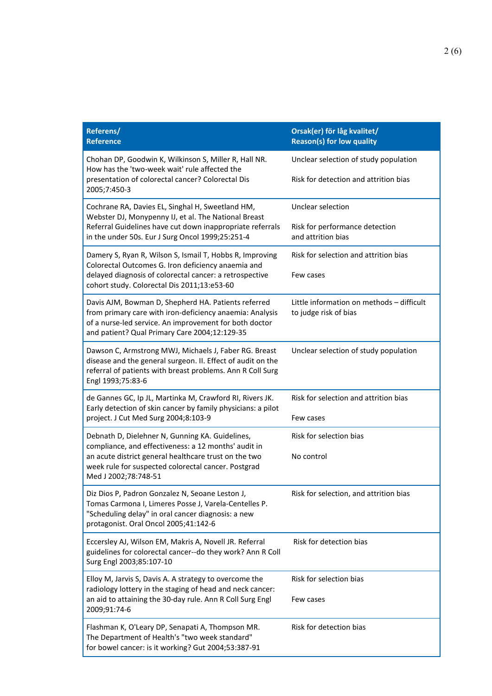| Referens/<br><b>Reference</b>                                                                                                                                               | Orsak(er) för låg kvalitet/<br><b>Reason(s) for low quality</b>    |
|-----------------------------------------------------------------------------------------------------------------------------------------------------------------------------|--------------------------------------------------------------------|
| Chohan DP, Goodwin K, Wilkinson S, Miller R, Hall NR.<br>How has the 'two-week wait' rule affected the<br>presentation of colorectal cancer? Colorectal Dis<br>2005;7:450-3 | Unclear selection of study population                              |
|                                                                                                                                                                             | Risk for detection and attrition bias                              |
| Cochrane RA, Davies EL, Singhal H, Sweetland HM,<br>Webster DJ, Monypenny IJ, et al. The National Breast                                                                    | Unclear selection                                                  |
| Referral Guidelines have cut down inappropriate referrals<br>in the under 50s. Eur J Surg Oncol 1999;25:251-4                                                               | Risk for performance detection<br>and attrition bias               |
| Damery S, Ryan R, Wilson S, Ismail T, Hobbs R, Improving<br>Colorectal Outcomes G. Iron deficiency anaemia and                                                              | Risk for selection and attrition bias                              |
| delayed diagnosis of colorectal cancer: a retrospective<br>cohort study. Colorectal Dis 2011;13:e53-60                                                                      | Few cases                                                          |
| Davis AJM, Bowman D, Shepherd HA. Patients referred<br>from primary care with iron-deficiency anaemia: Analysis                                                             | Little information on methods - difficult<br>to judge risk of bias |
| of a nurse-led service. An improvement for both doctor<br>and patient? Qual Primary Care 2004;12:129-35                                                                     |                                                                    |
| Dawson C, Armstrong MWJ, Michaels J, Faber RG. Breast<br>disease and the general surgeon. II. Effect of audit on the                                                        | Unclear selection of study population                              |
| referral of patients with breast problems. Ann R Coll Surg<br>Engl 1993;75:83-6                                                                                             |                                                                    |
| de Gannes GC, Ip JL, Martinka M, Crawford RI, Rivers JK.<br>Early detection of skin cancer by family physicians: a pilot                                                    | Risk for selection and attrition bias                              |
| project. J Cut Med Surg 2004;8:103-9                                                                                                                                        | Few cases                                                          |
| Debnath D, Dielehner N, Gunning KA. Guidelines,<br>compliance, and effectiveness: a 12 months' audit in                                                                     | Risk for selection bias                                            |
| an acute district general healthcare trust on the two<br>week rule for suspected colorectal cancer. Postgrad<br>Med J 2002;78:748-51                                        | No control                                                         |
| Diz Dios P, Padron Gonzalez N, Seoane Leston J,                                                                                                                             | Risk for selection, and attrition bias                             |
| Tomas Carmona I, Limeres Posse J, Varela-Centelles P.<br>"Scheduling delay" in oral cancer diagnosis: a new                                                                 |                                                                    |
| protagonist. Oral Oncol 2005;41:142-6                                                                                                                                       |                                                                    |
| Eccersley AJ, Wilson EM, Makris A, Novell JR. Referral<br>guidelines for colorectal cancer--do they work? Ann R Coll<br>Surg Engl 2003;85:107-10                            | Risk for detection bias                                            |
| Elloy M, Jarvis S, Davis A. A strategy to overcome the                                                                                                                      | Risk for selection bias                                            |
| radiology lottery in the staging of head and neck cancer:<br>an aid to attaining the 30-day rule. Ann R Coll Surg Engl<br>2009;91:74-6                                      | Few cases                                                          |
| Flashman K, O'Leary DP, Senapati A, Thompson MR.<br>The Department of Health's "two week standard"<br>for bowel cancer: is it working? Gut 2004;53:387-91                   | Risk for detection bias                                            |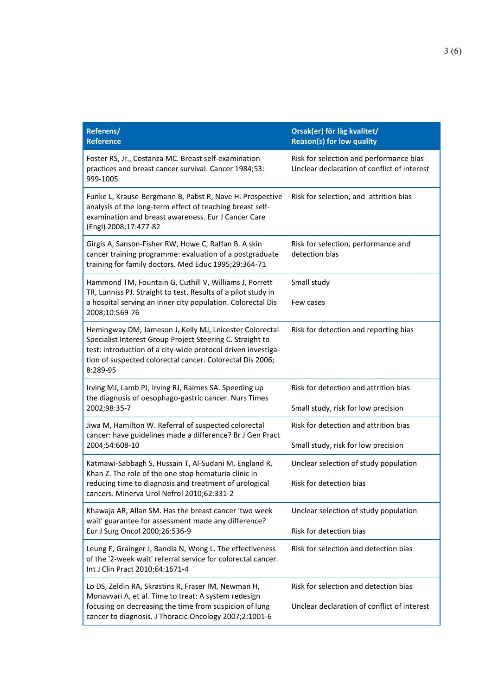| Referens/<br><b>Reference</b>                                                                                                                                                                                                                                 | Orsak(er) för låg kvalitet/<br><b>Reason(s) for low quality</b>                        |
|---------------------------------------------------------------------------------------------------------------------------------------------------------------------------------------------------------------------------------------------------------------|----------------------------------------------------------------------------------------|
| Foster RS, Jr., Costanza MC. Breast self-examination<br>practices and breast cancer survival. Cancer 1984;53:<br>999-1005                                                                                                                                     | Risk for selection and performance bias<br>Unclear declaration of conflict of interest |
| Funke L, Krause-Bergmann B, Pabst R, Nave H. Prospective<br>analysis of the long-term effect of teaching breast self-<br>examination and breast awareness. Eur J Cancer Care<br>(Engl) 2008;17:477-82                                                         | Risk for selection, and attrition bias                                                 |
| Girgis A, Sanson-Fisher RW, Howe C, Raffan B. A skin<br>cancer training programme: evaluation of a postgraduate<br>training for family doctors. Med Educ 1995;29:364-71                                                                                       | Risk for selection, performance and<br>detection bias                                  |
| Hammond TM, Fountain G, Cuthill V, Williams J, Porrett<br>TR, Lunniss PJ. Straight to test. Results of a pilot study in<br>a hospital serving an inner city population. Colorectal Dis<br>2008;10:569-76                                                      | Small study<br>Few cases                                                               |
| Hemingway DM, Jameson J, Kelly MJ, Leicester Colorectal<br>Specialist Interest Group Project Steering C. Straight to<br>test: introduction of a city-wide protocol driven investiga-<br>tion of suspected colorectal cancer. Colorectal Dis 2006;<br>8:289-95 | Risk for detection and reporting bias                                                  |
| Irving MJ, Lamb PJ, Irving RJ, Raimes SA. Speeding up<br>the diagnosis of oesophago-gastric cancer. Nurs Times<br>2002;98:35-7                                                                                                                                | Risk for detection and attrition bias<br>Small study, risk for low precision           |
| Jiwa M, Hamilton W. Referral of suspected colorectal<br>cancer: have guidelines made a difference? Br J Gen Pract<br>2004;54:608-10                                                                                                                           | Risk for detection and attrition bias<br>Small study, risk for low precision           |
| Katmawi-Sabbagh S, Hussain T, Al-Sudani M, England R,                                                                                                                                                                                                         | Unclear selection of study population                                                  |
| Khan Z. The role of the one stop hematuria clinic in<br>reducing time to diagnosis and treatment of urological<br>cancers. Minerva Urol Nefrol 2010;62:331-2                                                                                                  | Risk for detection bias                                                                |
| Khawaja AR, Allan SM. Has the breast cancer 'two week<br>wait' guarantee for assessment made any difference?<br>Eur J Surg Oncol 2000;26:536-9                                                                                                                | Unclear selection of study population                                                  |
|                                                                                                                                                                                                                                                               | Risk for detection bias                                                                |
| Leung E, Grainger J, Bandla N, Wong L. The effectiveness<br>of the '2-week wait' referral service for colorectal cancer.<br>Int J Clin Pract 2010;64:1671-4                                                                                                   | Risk for selection and detection bias                                                  |
| Lo DS, Zeldin RA, Skrastins R, Fraser IM, Newman H,<br>Monavvari A, et al. Time to treat: A system redesign<br>focusing on decreasing the time from suspicion of lung<br>cancer to diagnosis. J Thoracic Oncology 2007;2:1001-6                               | Risk for selection and detection bias<br>Unclear declaration of conflict of interest   |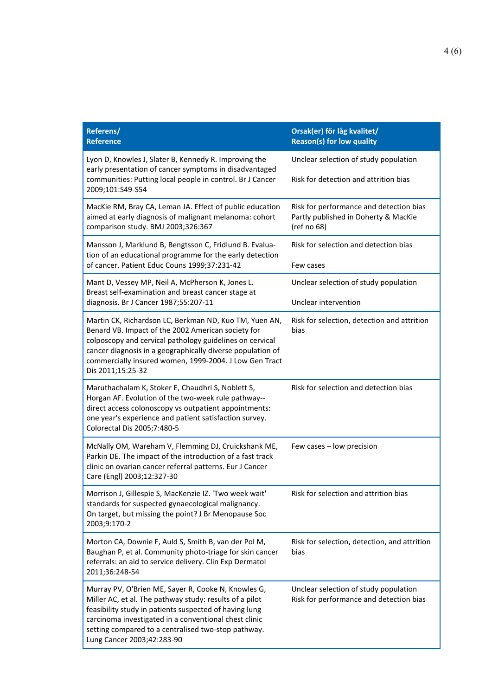| Referens/<br><b>Reference</b>                                                                                                                                                                                                                                                                                          | Orsak(er) för låg kvalitet/<br><b>Reason(s) for low quality</b>                                |
|------------------------------------------------------------------------------------------------------------------------------------------------------------------------------------------------------------------------------------------------------------------------------------------------------------------------|------------------------------------------------------------------------------------------------|
| Lyon D, Knowles J, Slater B, Kennedy R. Improving the<br>early presentation of cancer symptoms in disadvantaged<br>communities: Putting local people in control. Br J Cancer<br>2009;101:S49-S54                                                                                                                       | Unclear selection of study population                                                          |
|                                                                                                                                                                                                                                                                                                                        | Risk for detection and attrition bias                                                          |
| MacKie RM, Bray CA, Leman JA. Effect of public education<br>aimed at early diagnosis of malignant melanoma: cohort<br>comparison study. BMJ 2003;326:367                                                                                                                                                               | Risk for performance and detection bias<br>Partly published in Doherty & MacKie<br>(ref no 68) |
| Mansson J, Marklund B, Bengtsson C, Fridlund B. Evalua-<br>tion of an educational programme for the early detection<br>of cancer. Patient Educ Couns 1999;37:231-42                                                                                                                                                    | Risk for selection and detection bias<br>Few cases                                             |
| Mant D, Vessey MP, Neil A, McPherson K, Jones L.<br>Breast self-examination and breast cancer stage at                                                                                                                                                                                                                 | Unclear selection of study population                                                          |
| diagnosis. Br J Cancer 1987;55:207-11                                                                                                                                                                                                                                                                                  | Unclear intervention                                                                           |
| Martin CK, Richardson LC, Berkman ND, Kuo TM, Yuen AN,<br>Benard VB. Impact of the 2002 American society for<br>colposcopy and cervical pathology guidelines on cervical<br>cancer diagnosis in a geographically diverse population of<br>commercially insured women, 1999-2004. J Low Gen Tract<br>Dis 2011;15:25-32  | Risk for selection, detection and attrition<br>bias                                            |
| Maruthachalam K, Stoker E, Chaudhri S, Noblett S,<br>Horgan AF. Evolution of the two-week rule pathway--<br>direct access colonoscopy vs outpatient appointments:<br>one year's experience and patient satisfaction survey.<br>Colorectal Dis 2005;7:480-5                                                             | Risk for selection and detection bias                                                          |
| McNally OM, Wareham V, Flemming DJ, Cruickshank ME,<br>Parkin DE. The impact of the introduction of a fast track<br>clinic on ovarian cancer referral patterns. Eur J Cancer<br>Care (Engl) 2003;12:327-30                                                                                                             | Few cases - low precision                                                                      |
| Morrison J, Gillespie S, MacKenzie IZ. 'Two week wait'<br>standards for suspected gynaecological malignancy.<br>On target, but missing the point? J Br Menopause Soc<br>2003;9:170-2                                                                                                                                   | Risk for selection and attrition bias                                                          |
| Morton CA, Downie F, Auld S, Smith B, van der Pol M,<br>Baughan P, et al. Community photo-triage for skin cancer<br>referrals: an aid to service delivery. Clin Exp Dermatol<br>2011;36:248-54                                                                                                                         | Risk for selection, detection, and attrition<br>bias                                           |
| Murray PV, O'Brien ME, Sayer R, Cooke N, Knowles G,<br>Miller AC, et al. The pathway study: results of a pilot<br>feasibility study in patients suspected of having lung<br>carcinoma investigated in a conventional chest clinic<br>setting compared to a centralised two-stop pathway.<br>Lung Cancer 2003;42:283-90 | Unclear selection of study population<br>Risk for performance and detection bias               |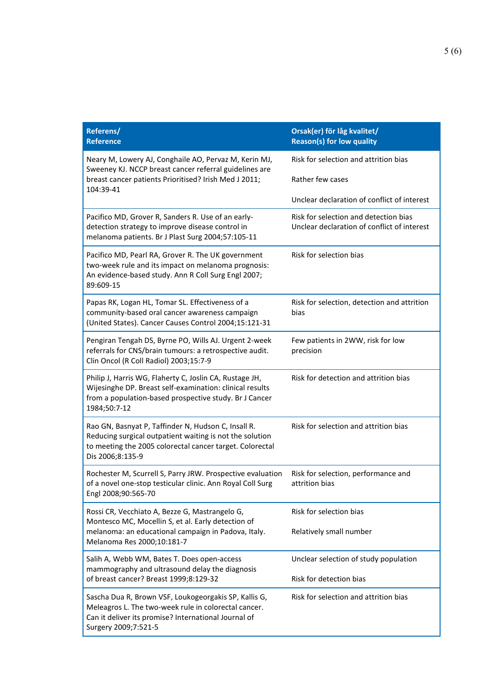| Referens/<br><b>Reference</b>                                                                                                                                                                   | Orsak(er) för låg kvalitet/<br><b>Reason(s) for low quality</b>                      |
|-------------------------------------------------------------------------------------------------------------------------------------------------------------------------------------------------|--------------------------------------------------------------------------------------|
| Neary M, Lowery AJ, Conghaile AO, Pervaz M, Kerin MJ,<br>Sweeney KJ. NCCP breast cancer referral guidelines are<br>breast cancer patients Prioritised? Irish Med J 2011;                        | Risk for selection and attrition bias                                                |
|                                                                                                                                                                                                 | Rather few cases                                                                     |
| 104:39-41                                                                                                                                                                                       | Unclear declaration of conflict of interest                                          |
| Pacifico MD, Grover R, Sanders R. Use of an early-<br>detection strategy to improve disease control in<br>melanoma patients. Br J Plast Surg 2004;57:105-11                                     | Risk for selection and detection bias<br>Unclear declaration of conflict of interest |
| Pacifico MD, Pearl RA, Grover R. The UK government<br>two-week rule and its impact on melanoma prognosis:<br>An evidence-based study. Ann R Coll Surg Engl 2007;<br>89:609-15                   | Risk for selection bias                                                              |
| Papas RK, Logan HL, Tomar SL. Effectiveness of a<br>community-based oral cancer awareness campaign<br>(United States). Cancer Causes Control 2004;15:121-31                                     | Risk for selection, detection and attrition<br>bias                                  |
| Pengiran Tengah DS, Byrne PO, Wills AJ. Urgent 2-week<br>referrals for CNS/brain tumours: a retrospective audit.<br>Clin Oncol (R Coll Radiol) 2003;15:7-9                                      | Few patients in 2WW, risk for low<br>precision                                       |
| Philip J, Harris WG, Flaherty C, Joslin CA, Rustage JH,<br>Wijesinghe DP. Breast self-examination: clinical results<br>from a population-based prospective study. Br J Cancer<br>1984;50:7-12   | Risk for detection and attrition bias                                                |
| Rao GN, Basnyat P, Taffinder N, Hudson C, Insall R.<br>Reducing surgical outpatient waiting is not the solution<br>to meeting the 2005 colorectal cancer target. Colorectal<br>Dis 2006;8:135-9 | Risk for selection and attrition bias                                                |
| Rochester M, Scurrell S, Parry JRW. Prospective evaluation<br>of a novel one-stop testicular clinic. Ann Royal Coll Surg<br>Engl 2008;90:565-70                                                 | Risk for selection, performance and<br>attrition bias                                |
| Rossi CR, Vecchiato A, Bezze G, Mastrangelo G,<br>Montesco MC, Mocellin S, et al. Early detection of<br>melanoma: an educational campaign in Padova, Italy.<br>Melanoma Res 2000;10:181-7       | Risk for selection bias                                                              |
|                                                                                                                                                                                                 | Relatively small number                                                              |
| Salih A, Webb WM, Bates T. Does open-access<br>mammography and ultrasound delay the diagnosis                                                                                                   | Unclear selection of study population                                                |
| of breast cancer? Breast 1999;8:129-32                                                                                                                                                          | Risk for detection bias                                                              |
| Sascha Dua R, Brown VSF, Loukogeorgakis SP, Kallis G,<br>Meleagros L. The two-week rule in colorectal cancer.<br>Can it deliver its promise? International Journal of<br>Surgery 2009;7:521-5   | Risk for selection and attrition bias                                                |